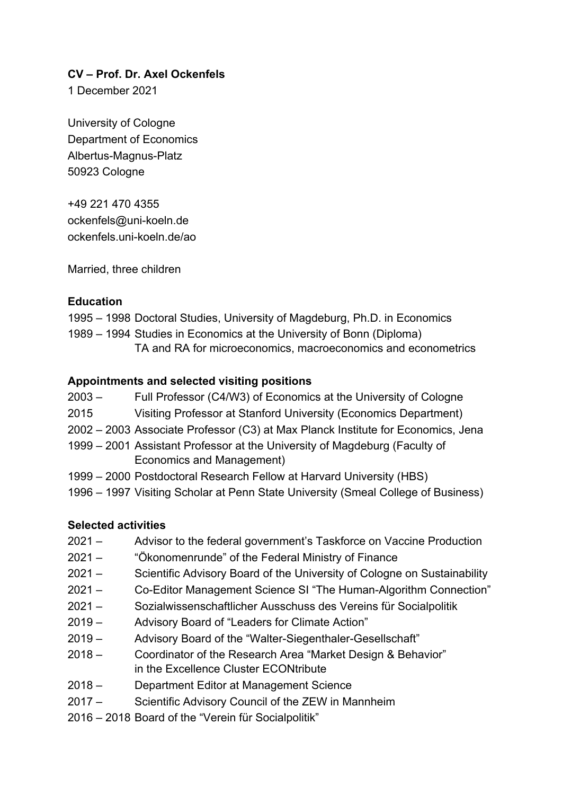#### **CV – Prof. Dr. Axel Ockenfels**

1 December 2021

University of Cologne Department of Economics Albertus-Magnus-Platz 50923 Cologne

+49 221 470 4355 ockenfels@uni-koeln.de ockenfels.uni-koeln.de/ao

Married, three children

#### **Education**

1995 – 1998 Doctoral Studies, University of Magdeburg, Ph.D. in Economics

1989 – 1994 Studies in Economics at the University of Bonn (Diploma) TA and RA for microeconomics, macroeconomics and econometrics

## **Appointments and selected visiting positions**

- 2003 Full Professor (C4/W3) of Economics at the University of Cologne
- 2015 Visiting Professor at Stanford University (Economics Department)
- 2002 2003 Associate Professor (C3) at Max Planck Institute for Economics, Jena
- 1999 2001 Assistant Professor at the University of Magdeburg (Faculty of Economics and Management)
- 1999 2000 Postdoctoral Research Fellow at Harvard University (HBS)
- 1996 1997 Visiting Scholar at Penn State University (Smeal College of Business)

## **Selected activities**

- 2021 Advisor to the federal government's Taskforce on Vaccine Production
- 2021 "Ökonomenrunde" of the Federal Ministry of Finance
- 2021 Scientific Advisory Board of the University of Cologne on Sustainability
- 2021 Co-Editor Management Science SI "The Human-Algorithm Connection"
- 2021 Sozialwissenschaftlicher Ausschuss des Vereins für Socialpolitik
- 2019 Advisory Board of "Leaders for Climate Action"
- 2019 Advisory Board of the "Walter-Siegenthaler-Gesellschaft"
- 2018 Coordinator of the Research Area "Market Design & Behavior" in the Excellence Cluster ECONtribute
- 2018 Department Editor at Management Science
- 2017 Scientific Advisory Council of the ZEW in Mannheim
- 2016 2018 Board of the "Verein für Socialpolitik"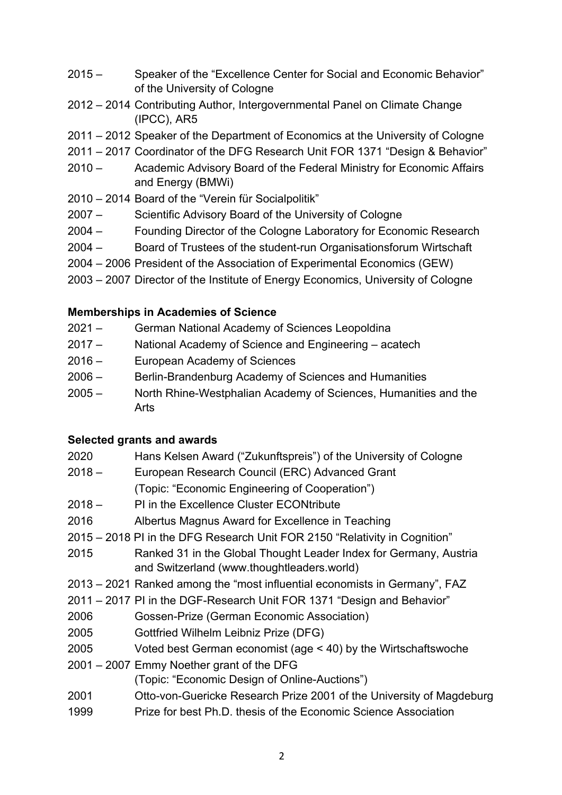- 2015 Speaker of the "Excellence Center for Social and Economic Behavior" of the University of Cologne
- 2012 2014 Contributing Author, Intergovernmental Panel on Climate Change (IPCC), AR5
- 2011 2012 Speaker of the Department of Economics at the University of Cologne
- 2011 2017 Coordinator of the DFG Research Unit FOR 1371 "Design & Behavior"
- 2010 Academic Advisory Board of the Federal Ministry for Economic Affairs and Energy (BMWi)
- 2010 2014 Board of the "Verein für Socialpolitik"
- 2007 Scientific Advisory Board of the University of Cologne
- 2004 Founding Director of the Cologne Laboratory for Economic Research
- 2004 Board of Trustees of the student-run Organisationsforum Wirtschaft
- 2004 2006 President of the Association of Experimental Economics (GEW)
- 2003 2007 Director of the Institute of Energy Economics, University of Cologne

# **Memberships in Academies of Science**

- 2021 German National Academy of Sciences Leopoldina
- 2017 National Academy of Science and Engineering acatech
- 2016 European Academy of Sciences
- 2006 Berlin-Brandenburg Academy of Sciences and Humanities
- 2005 North Rhine-Westphalian Academy of Sciences, Humanities and the Arts

## **Selected grants and awards**

| 2020     | Hans Kelsen Award ("Zukunftspreis") of the University of Cologne                                                |
|----------|-----------------------------------------------------------------------------------------------------------------|
| $2018 -$ | European Research Council (ERC) Advanced Grant                                                                  |
|          | (Topic: "Economic Engineering of Cooperation")                                                                  |
| $2018 -$ | PI in the Excellence Cluster ECONtribute                                                                        |
| 2016     | Albertus Magnus Award for Excellence in Teaching                                                                |
|          | 2015 – 2018 PI in the DFG Research Unit FOR 2150 "Relativity in Cognition"                                      |
| 2015     | Ranked 31 in the Global Thought Leader Index for Germany, Austria<br>and Switzerland (www.thoughtleaders.world) |
|          | 2013 – 2021 Ranked among the "most influential economists in Germany", FAZ                                      |
|          | 2011 – 2017 PI in the DGF-Research Unit FOR 1371 "Design and Behavior"                                          |
| 2006     | Gossen-Prize (German Economic Association)                                                                      |
| 2005     | Gottfried Wilhelm Leibniz Prize (DFG)                                                                           |
| 2005     | Voted best German economist (age $<$ 40) by the Wirtschaftswoche                                                |
|          | 2001 - 2007 Emmy Noether grant of the DFG                                                                       |
|          | (Topic: "Economic Design of Online-Auctions")                                                                   |
| 2001     | Otto-von-Guericke Research Prize 2001 of the University of Magdeburg                                            |
| 1999     | Prize for best Ph.D. thesis of the Economic Science Association                                                 |
|          |                                                                                                                 |